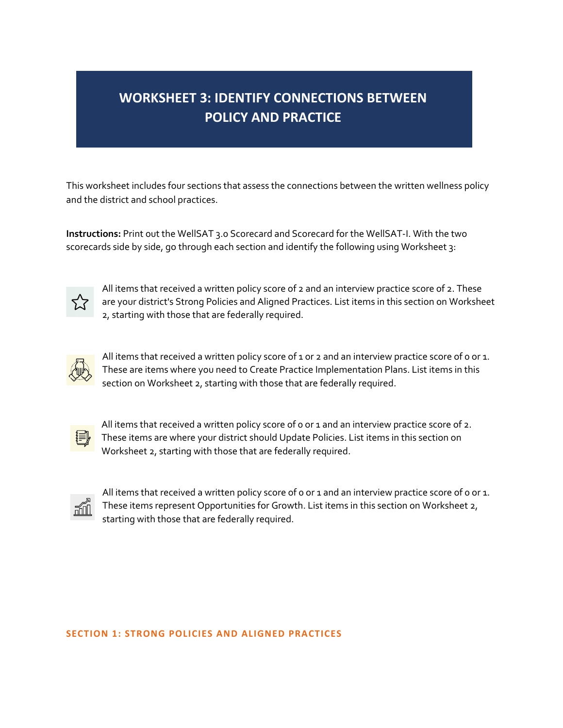# **WORKSHEET 3: IDENTIFY CONNECTIONS BETWEEN POLICY AND PRACTICE**

This worksheet includes four sections that assess the connections between the written wellness policy and the district and school practices.

**Instructions:** Print out the WellSAT 3.0 Scorecard and Scorecard for the WellSAT-I. With the two scorecards side by side, go through each section and identify the following using Worksheet 3:



All items that received a written policy score of 2 and an interview practice score of 2. These are your district's Strong Policies and Aligned Practices. List items in this section on Worksheet 2, starting with those that are federally required.



All items that received a written policy score of 1 or 2 and an interview practice score of 0 or 1. These are items where you need to Create Practice Implementation Plans. List items in this section on Worksheet 2, starting with those that are federally required.



All items that received a written policy score of 0 or 1 and an interview practice score of 2. These items are where your district should Update Policies. List items in this section on Worksheet 2, starting with those that are federally required.



All items that received a written policy score of 0 or 1 and an interview practice score of 0 or 1. These items represent Opportunities for Growth. List items in this section on Worksheet 2, starting with those that are federally required.

#### **SECTION 1: STRONG POLICIES AND ALIGNED PRACTICES**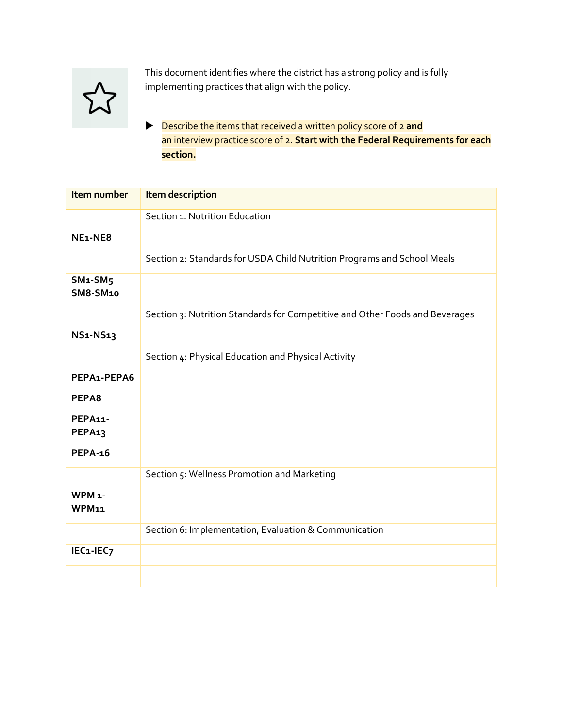

This document identifies where the district has a strong policy and is fully implementing practices that align with the policy.

 Describe the items that received a written policy score of 2 **and** an interview practice score of 2. **Start with the Federal Requirements for each section.**

| Item number                          | Item description                                                             |
|--------------------------------------|------------------------------------------------------------------------------|
|                                      | Section 1. Nutrition Education                                               |
| NE <sub>1</sub> -NE <sub>8</sub>     |                                                                              |
|                                      | Section 2: Standards for USDA Child Nutrition Programs and School Meals      |
| $SM1-SM5$<br><b>SM8-SM10</b>         |                                                                              |
|                                      | Section 3: Nutrition Standards for Competitive and Other Foods and Beverages |
| <b>NS1-NS13</b>                      |                                                                              |
|                                      | Section 4: Physical Education and Physical Activity                          |
| PEPA1-PEPA6                          |                                                                              |
| PEPA8                                |                                                                              |
| <b>PEPA11-</b><br>PEPA <sub>13</sub> |                                                                              |
| <b>PEPA-16</b>                       |                                                                              |
|                                      | Section 5: Wellness Promotion and Marketing                                  |
| WPM <sub>1</sub> -<br>WPM11          |                                                                              |
|                                      | Section 6: Implementation, Evaluation & Communication                        |
| IEC1-IEC7                            |                                                                              |
|                                      |                                                                              |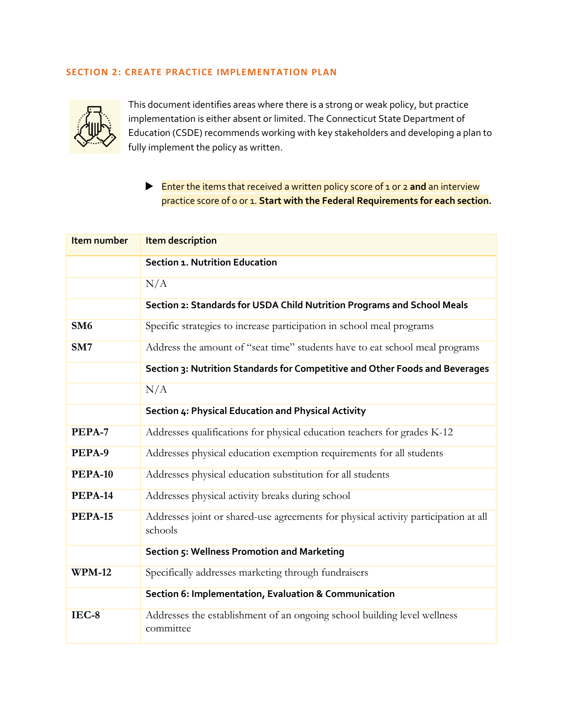## **SECTION 2: CREATE PRACTICE IMPLEMENTATION PLAN**



This document identifies areas where there is a strong or weak policy, but practice implementation is either absent or limited. The Connecticut State Department of Education (CSDE) recommends working with key stakeholders and developing a plan to fully implement the policy as written.

# Enter the items that received a written policy score of 1 or 2 **and** an interview practice score of 0 or 1. **Start with the Federal Requirements for each section.**

| Item number     | <b>Item description</b>                                                                        |
|-----------------|------------------------------------------------------------------------------------------------|
|                 | Section 1. Nutrition Education                                                                 |
|                 | N/A                                                                                            |
|                 | Section 2: Standards for USDA Child Nutrition Programs and School Meals                        |
| SM <sub>6</sub> | Specific strategies to increase participation in school meal programs                          |
| SM7             | Address the amount of "seat time" students have to eat school meal programs                    |
|                 | Section 3: Nutrition Standards for Competitive and Other Foods and Beverages                   |
|                 | N/A                                                                                            |
|                 | Section 4: Physical Education and Physical Activity                                            |
| PEPA-7          | Addresses qualifications for physical education teachers for grades K-12                       |
| PEPA-9          | Addresses physical education exemption requirements for all students                           |
| <b>PEPA-10</b>  | Addresses physical education substitution for all students                                     |
| <b>PEPA-14</b>  | Addresses physical activity breaks during school                                               |
| <b>PEPA-15</b>  | Addresses joint or shared-use agreements for physical activity participation at all<br>schools |
|                 | Section 5: Wellness Promotion and Marketing                                                    |
| <b>WPM-12</b>   | Specifically addresses marketing through fundraisers                                           |
|                 | Section 6: Implementation, Evaluation & Communication                                          |
| $IEC-8$         | Addresses the establishment of an ongoing school building level wellness<br>committee          |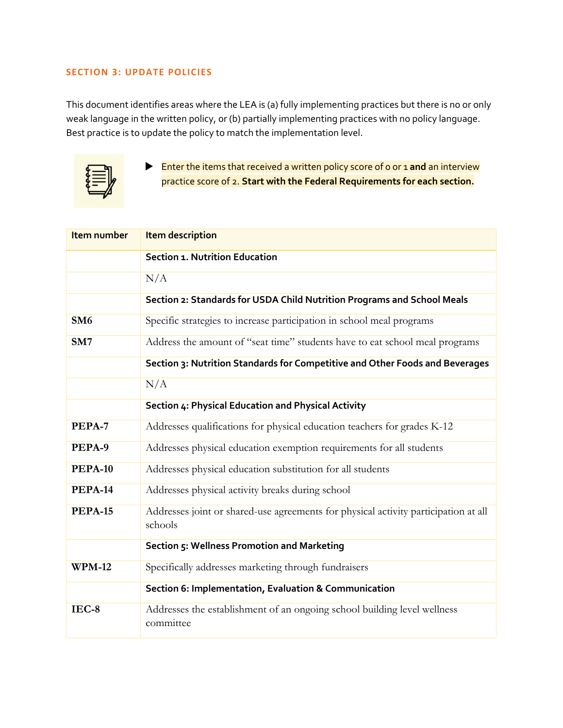### **SECTION 3: UPDATE POLICIES**

This document identifies areas where the LEA is (a) fully implementing practices but there is no or only weak language in the written policy, or (b) partially implementing practices with no policy language. Best practice is to update the policy to match the implementation level.



 Enter the items that received a written policy score of 0 or 1 **and** an interview practice score of 2. **Start with the Federal Requirements for each section.**

| Item number     | <b>Item description</b>                                                                        |
|-----------------|------------------------------------------------------------------------------------------------|
|                 | <b>Section 1. Nutrition Education</b>                                                          |
|                 | N/A                                                                                            |
|                 | Section 2: Standards for USDA Child Nutrition Programs and School Meals                        |
| SM <sub>6</sub> | Specific strategies to increase participation in school meal programs                          |
| SM7             | Address the amount of "seat time" students have to eat school meal programs                    |
|                 | Section 3: Nutrition Standards for Competitive and Other Foods and Beverages                   |
|                 | N/A                                                                                            |
|                 | Section 4: Physical Education and Physical Activity                                            |
| PEPA-7          | Addresses qualifications for physical education teachers for grades K-12                       |
| PEPA-9          | Addresses physical education exemption requirements for all students                           |
| <b>PEPA-10</b>  | Addresses physical education substitution for all students                                     |
| <b>PEPA-14</b>  | Addresses physical activity breaks during school                                               |
| <b>PEPA-15</b>  | Addresses joint or shared-use agreements for physical activity participation at all<br>schools |
|                 | Section 5: Wellness Promotion and Marketing                                                    |
| <b>WPM-12</b>   | Specifically addresses marketing through fundraisers                                           |
|                 | Section 6: Implementation, Evaluation & Communication                                          |
| $IEC-8$         | Addresses the establishment of an ongoing school building level wellness<br>committee          |